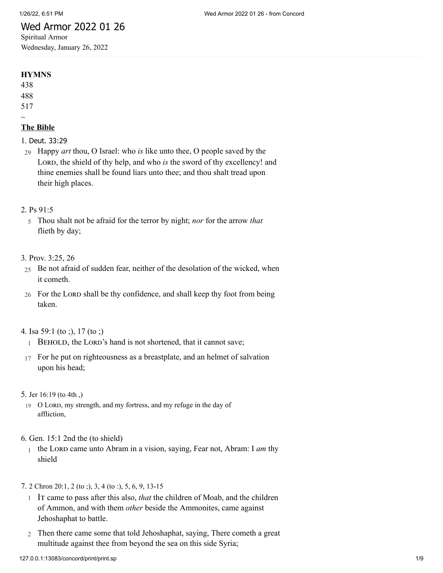# Wed Armor 2022 01 26

Spiritual Armor Wednesday, January 26, 2022

# **HYMNS**

438

488

517  $\sim$ 

# **The Bible**

- 1. Deut. [33:29](http://www.concordworks.com/citation/Deut.%2033:29)
- 29 Happy *art* thou, O Israel: who *is* like unto thee, O people saved by the LORD, the shield of thy help, and who *is* the sword of thy excellency! and thine enemies shall be found liars unto thee; and thou shalt tread upon their high places.

# 2. [Ps 91:5](http://www.concordworks.com/citation/Ps%2091:5)

5 Thou shalt not be afraid for the terror by night; *nor* for the arrow *that* flieth by day;

# 3. [Prov. 3:25, 26](http://www.concordworks.com/citation/Prov.%203:25,%2026)

- 25 Be not afraid of sudden fear, neither of the desolation of the wicked, when it cometh.
- 26 For the LORD shall be thy confidence, and shall keep thy foot from being taken.

## 4. [Isa 59:1 \(to ;\), 17 \(to ;\)](http://www.concordworks.com/citation/Isa%2059:1%20(to%20;),%2017%20(to%20;))

- 1 BEHOLD, the LORD's hand is not shortened, that it cannot save;
- 17 For he put on righteousness as a breastplate, and an helmet of salvation upon his head;

#### 5. Jer [16:19](http://www.concordworks.com/citation/Jer%2016:19%20(to%204th%20,)) (to 4th ,)

- 19 O LORD, my strength, and my fortress, and my refuge in the day of affliction,
- 6. [Gen. 15:1 2nd the \(to shield\)](http://www.concordworks.com/citation/Gen.%2015:1%202nd%20the%20(to%20shield))
	- 1 the Lord came unto Abram in a vision, saying, Fear not, Abram: I *am* thy shield
- 7. 2 [Chron](http://www.concordworks.com/citation/2%20Chron%2020:1,%202%20(to%20;),%203,%204%20(to%20:),%205,%206,%209,%2013-15) 20:1, 2 (to ;), 3, 4 (to :), 5, 6, 9, 13-15
	- 1 It came to pass after this also, *that* the children of Moab, and the children of Ammon, and with them *other* beside the Ammonites, came against Jehoshaphat to battle.
	- 2 Then there came some that told Jehoshaphat, saying, There cometh a great multitude against thee from beyond the sea on this side Syria;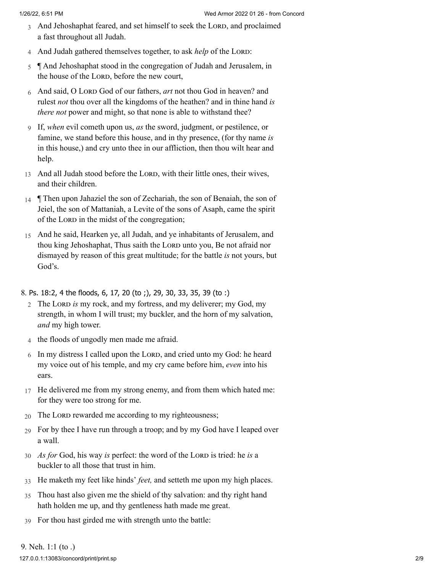- 3 And Jehoshaphat feared, and set himself to seek the LORD, and proclaimed a fast throughout all Judah.
- 4 And Judah gathered themselves together, to ask *help* of the LORD:
- 5 ¶ And Jehoshaphat stood in the congregation of Judah and Jerusalem, in the house of the LORD, before the new court,
- 6 And said, O LORD God of our fathers, art not thou God in heaven? and rulest *not* thou over all the kingdoms of the heathen? and in thine hand *is there not* power and might, so that none is able to withstand thee?
- 9 If, *when* evil cometh upon us, *as* the sword, judgment, or pestilence, or famine, we stand before this house, and in thy presence, (for thy name *is* in this house,) and cry unto thee in our affliction, then thou wilt hear and help.
- 13 And all Judah stood before the LORD, with their little ones, their wives, and their children.
- 14 ¶ Then upon Jahaziel the son of Zechariah, the son of Benaiah, the son of Jeiel, the son of Mattaniah, a Levite of the sons of Asaph, came the spirit of the LORD in the midst of the congregation;
- 15 And he said, Hearken ye, all Judah, and ye inhabitants of Jerusalem, and thou king Jehoshaphat, Thus saith the LORD unto you, Be not afraid nor dismayed by reason of this great multitude; for the battle *is* not yours, but God's.

8. Ps. 18:2, 4 the [floods,](http://www.concordworks.com/citation/Ps.%2018:2,%204%20the%20floods,%206,%2017,%2020%20(to%20;),%2029,%2030,%2033,%2035,%2039%20(to%20:)) 6, 17, 20 (to ;), 29, 30, 33, 35, 39 (to :)

- 2 The Lord *is* my rock, and my fortress, and my deliverer; my God, my strength, in whom I will trust; my buckler, and the horn of my salvation, *and* my high tower.
- 4 the floods of ungodly men made me afraid.
- 6 In my distress I called upon the LORD, and cried unto my God: he heard my voice out of his temple, and my cry came before him, *even* into his ears.
- 17 He delivered me from my strong enemy, and from them which hated me: for they were too strong for me.
- 20 The Lord rewarded me according to my righteousness;
- 29 For by thee I have run through a troop; and by my God have I leaped over a wall.
- 30 As for God, his way is perfect: the word of the LORD is tried: he is a buckler to all those that trust in him.
- 33 He maketh my feet like hinds' *feet,* and setteth me upon my high places.
- 35 Thou hast also given me the shield of thy salvation: and thy right hand hath holden me up, and thy gentleness hath made me great.
- 39 For thou hast girded me with strength unto the battle: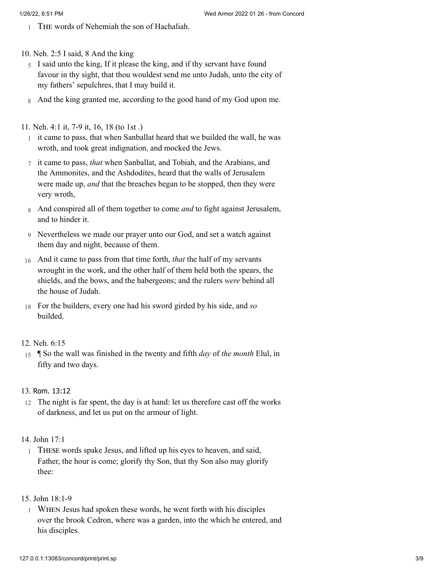- 1 The words of Nehemiah the son of Hachaliah.
- 10. [Neh. 2:5 I said, 8 And the king](http://www.concordworks.com/citation/Neh.%202:5%20I%20said,%208%20And%20the%20king)
	- 5 I said unto the king, If it please the king, and if thy servant have found favour in thy sight, that thou wouldest send me unto Judah, unto the city of my fathers' sepulchres, that I may build it.
	- 8 And the king granted me, according to the good hand of my God upon me.

## 11. [Neh. 4:1 it, 7-9 it, 16, 18 \(to 1st .\)](http://www.concordworks.com/citation/Neh.%204:1%20it,%207-9%20it,%2016,%2018%20(to%201st%20.))

- 1 it came to pass, that when Sanballat heard that we builded the wall, he was wroth, and took great indignation, and mocked the Jews.
- 7 it came to pass, *that* when Sanballat, and Tobiah, and the Arabians, and the Ammonites, and the Ashdodites, heard that the walls of Jerusalem were made up, *and* that the breaches began to be stopped, then they were very wroth,
- 8 And conspired all of them together to come *and* to fight against Jerusalem, and to hinder it.
- 9 Nevertheless we made our prayer unto our God, and set a watch against them day and night, because of them.
- 16 And it came to pass from that time forth, *that* the half of my servants wrought in the work, and the other half of them held both the spears, the shields, and the bows, and the habergeons; and the rulers *were* behind all the house of Judah.
- 18 For the builders, every one had his sword girded by his side, and *so* builded.

#### 12. [Neh. 6:15](http://www.concordworks.com/citation/Neh.%206:15)

15 ¶ So the wall was finished in the twenty and fifth *day* of *the month* Elul, in fifty and two days.

#### 13. Rom. [13:12](http://www.concordworks.com/citation/Rom.%2013:12)

12 The night is far spent, the day is at hand: let us therefore cast off the works of darkness, and let us put on the armour of light.

#### 14. [John 17:1](http://www.concordworks.com/citation/John%2017:1)

1 These words spake Jesus, and lifted up his eyes to heaven, and said, Father, the hour is come; glorify thy Son, that thy Son also may glorify thee:

#### 15. [John 18:1-9](http://www.concordworks.com/citation/John%2018:1-9)

1 When Jesus had spoken these words, he went forth with his disciples over the brook Cedron, where was a garden, into the which he entered, and his disciples.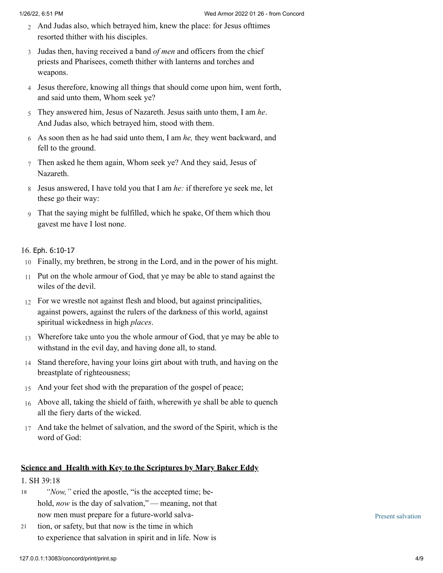- 2 And Judas also, which betrayed him, knew the place: for Jesus ofttimes resorted thither with his disciples.
- 3 Judas then, having received a band *of men* and officers from the chief priests and Pharisees, cometh thither with lanterns and torches and weapons.
- 4 Jesus therefore, knowing all things that should come upon him, went forth, and said unto them, Whom seek ye?
- 5 They answered him, Jesus of Nazareth. Jesus saith unto them, I am *he*. And Judas also, which betrayed him, stood with them.
- 6 As soon then as he had said unto them, I am *he,* they went backward, and fell to the ground.
- 7 Then asked he them again, Whom seek ye? And they said, Jesus of Nazareth.
- 8 Jesus answered, I have told you that I am *he:* if therefore ye seek me, let these go their way:
- 9 That the saying might be fulfilled, which he spake, Of them which thou gavest me have I lost none.

# 16. Eph. [6:10-17](http://www.concordworks.com/citation/Eph.%206:10-17)

- 10 Finally, my brethren, be strong in the Lord, and in the power of his might.
- 11 Put on the whole armour of God, that ye may be able to stand against the wiles of the devil.
- 12 For we wrestle not against flesh and blood, but against principalities, against powers, against the rulers of the darkness of this world, against spiritual wickedness in high *places*.
- 13 Wherefore take unto you the whole armour of God, that ye may be able to withstand in the evil day, and having done all, to stand.
- 14 Stand therefore, having your loins girt about with truth, and having on the breastplate of righteousness;
- 15 And your feet shod with the preparation of the gospel of peace;
- 16 Above all, taking the shield of faith, wherewith ye shall be able to quench all the fiery darts of the wicked.
- 17 And take the helmet of salvation, and the sword of the Spirit, which is the word of God:

# **Science and Health with Key to the Scriptures by Mary Baker Eddy**

1. [SH 39:18](http://www.concordworks.com/citation/SH%2039:18)

- *"Now,"* cried the apostle, "is the accepted time; be‐ hold, *now* is the day of salvation," — meaning, not that now men must prepare for a future-world salva‐ 18
- tion, or safety, but that now is the time in which to experience that salvation in spirit and in life. Now is 21

Present salvation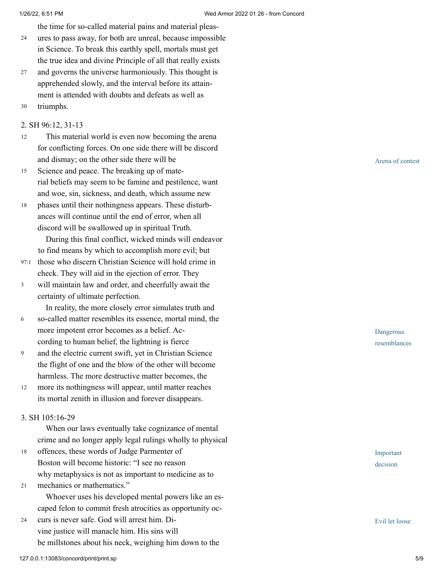the time for so-called material pains and material pleas‐

- ures to pass away, for both are unreal, because impossible in Science. To break this earthly spell, mortals must get the true idea and divine Principle of all that really exists 24
- and governs the universe harmoniously. This thought is apprehended slowly, and the interval before its attain‐ ment is attended with doubts and defeats as well as 27
- triumphs. 30

#### 2. [SH 96:12, 31-13](http://www.concordworks.com/citation/SH%2096:12,%2031-13)

- This material world is even now becoming the arena for conflicting forces. On one side there will be discord and dismay; on the other side there will be 12
- Science and peace. The breaking up of mate‐ rial beliefs may seem to be famine and pestilence, want and woe, sin, sickness, and death, which assume new 15
- phases until their nothingness appears. These disturb‐ ances will continue until the end of error, when all discord will be swallowed up in spiritual Truth. 18

During this final conflict, wicked minds will endeavor to find means by which to accomplish more evil; but

- 97:1 those who discern Christian Science will hold crime in check. They will aid in the ejection of error. They
- will maintain law and order, and cheerfully await the certainty of ultimate perfection. 3

In reality, the more closely error simulates truth and

- so-called matter resembles its essence, mortal mind, the more impotent error becomes as a belief. According to human belief, the lightning is fierce 6
- and the electric current swift, yet in Christian Science the flight of one and the blow of the other will become harmless. The more destructive matter becomes, the 9
- more its nothingness will appear, until matter reaches its mortal zenith in illusion and forever disappears. 12

## 3. [SH 105:16-29](http://www.concordworks.com/citation/SH%20105:16-29)

When our laws eventually take cognizance of mental crime and no longer apply legal rulings wholly to physical

- offences, these words of Judge Parmenter of Boston will become historic: "I see no reason why metaphysics is not as important to medicine as to 18
- mechanics or mathematics." 21

Whoever uses his developed mental powers like an escaped felon to commit fresh atrocities as opportunity oc‐

curs is never safe. God will arrest him. Di‐ vine justice will manacle him. His sins will be millstones about his neck, weighing him down to the  $24$ 

Arena of contest

Dangerous resemblances

Important decision

Evil let loose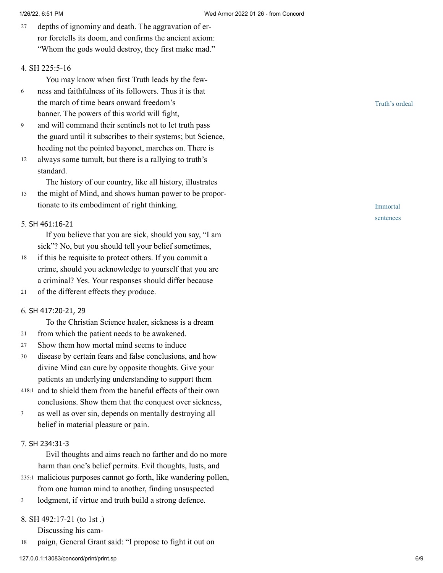depths of ignominy and death. The aggravation of er‐ ror foretells its doom, and confirms the ancient axiom: "Whom the gods would destroy, they first make mad." 27

#### 4. [SH 225:5-16](http://www.concordworks.com/citation/SH%20225:5-16)

You may know when first Truth leads by the few‐

- ness and faithfulness of its followers. Thus it is that the march of time bears onward freedom's banner. The powers of this world will fight, 6
- and will command their sentinels not to let truth pass the guard until it subscribes to their systems; but Science, heeding not the pointed bayonet, marches on. There is 9
- always some tumult, but there is a rallying to truth's standard. 12

The history of our country, like all history, illustrates

the might of Mind, and shows human power to be propor‐ tionate to its embodiment of right thinking. 15

## 5. SH [461:16-21](http://www.concordworks.com/citation/SH%20461:16-21)

If you believe that you are sick, should you say, "I am sick"? No, but you should tell your belief sometimes,

- if this be requisite to protect others. If you commit a crime, should you acknowledge to yourself that you are a criminal? Yes. Your responses should differ because 18
- of the different effects they produce. 21

## 6. SH [417:20-21,](http://www.concordworks.com/citation/SH%20417:20-21,%2029) 29

To the Christian Science healer, sickness is a dream

- from which the patient needs to be awakened. 21
- Show them how mortal mind seems to induce 27
- disease by certain fears and false conclusions, and how divine Mind can cure by opposite thoughts. Give your patients an underlying understanding to support them 30
- and to shield them from the baneful effects of their own 418:1 conclusions. Show them that the conquest over sickness,
- as well as over sin, depends on mentally destroying all belief in material pleasure or pain. 3

#### 7. SH [234:31-3](http://www.concordworks.com/citation/SH%20234:31-3)

Evil thoughts and aims reach no farther and do no more harm than one's belief permits. Evil thoughts, lusts, and

- malicious purposes cannot go forth, like wandering pollen, 235:1 from one human mind to another, finding unsuspected
- lodgment, if virtue and truth build a strong defence. 3

#### 8. [SH 492:17-21 \(to 1st .\)](http://www.concordworks.com/citation/SH%20492:17-21%20(to%201st%20.))

Discussing his cam‐

18 paign, General Grant said: "I propose to fight it out on

Truth's ordeal

Immortal sentences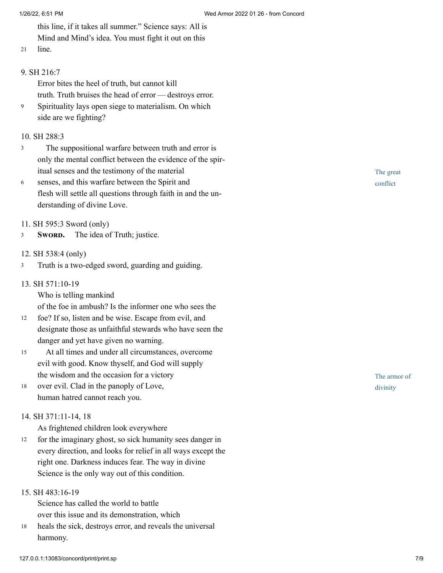this line, if it takes all summer." Science says: All is Mind and Mind's idea. You must fight it out on this

21 line.

#### 9. [SH 216:7](http://www.concordworks.com/citation/SH%20216:7)

- Error bites the heel of truth, but cannot kill truth. Truth bruises the head of error — destroys error.
- Spirituality lays open siege to materialism. On which side are we fighting? 9

## 10. [SH 288:3](http://www.concordworks.com/citation/SH%20288:3)

- The suppositional warfare between truth and error is only the mental conflict between the evidence of the spir‐ itual senses and the testimony of the material 3
- senses, and this warfare between the Spirit and flesh will settle all questions through faith in and the understanding of divine Love. 6

## 11. [SH 595:3 Sword \(only\)](http://www.concordworks.com/citation/SH%20595:3%20Sword%20(only))

3 **Sword.**  The idea of Truth; justice.

## 12. [SH 538:4 \(only\)](http://www.concordworks.com/citation/SH%20538:4%20(only))

3 Truth is a two-edged sword, guarding and guiding.

## 13. [SH 571:10-19](http://www.concordworks.com/citation/SH%20571:10-19)

Who is telling mankind of the foe in ambush? Is the informer one who sees the

- foe? If so, listen and be wise. Escape from evil, and designate those as unfaithful stewards who have seen the danger and yet have given no warning. 12
- At all times and under all circumstances, overcome evil with good. Know thyself, and God will supply the wisdom and the occasion for a victory 15
- over evil. Clad in the panoply of Love, human hatred cannot reach you. 18

#### 14. [SH 371:11-14, 18](http://www.concordworks.com/citation/SH%20371:11-14,%2018)

As frightened children look everywhere

for the imaginary ghost, so sick humanity sees danger in every direction, and looks for relief in all ways except the right one. Darkness induces fear. The way in divine Science is the only way out of this condition. 12

#### 15. [SH 483:16-19](http://www.concordworks.com/citation/SH%20483:16-19)

Science has called the world to battle over this issue and its demonstration, which

heals the sick, destroys error, and reveals the universal harmony. 18

The great conflict

The armor of divinity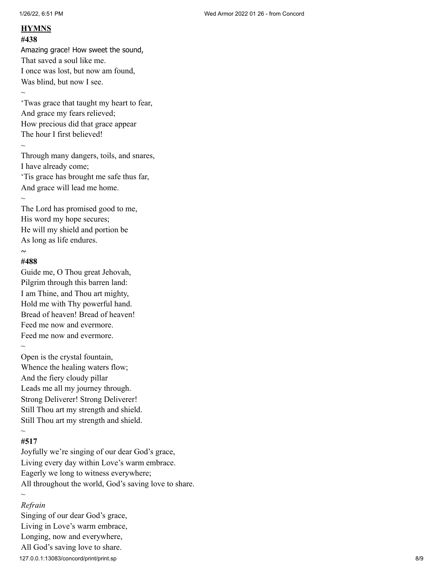# **HYMNS**

# **#438**

Amazing grace! How sweet the sound, That saved a soul like me. I once was lost, but now am found, Was blind, but now I see.

'Twas grace that taught my heart to fear, And grace my fears relieved; How precious did that grace appear The hour I first believed!

 $\sim$ 

 $\sim$ 

Through many dangers, toils, and snares, I have already come; 'Tis grace has brought me safe thus far, And grace will lead me home.  $\sim$ 

The Lord has promised good to me, His word my hope secures; He will my shield and portion be As long as life endures.

## **#488**

 $\sim$ 

Guide me, O Thou great Jehovah, Pilgrim through this barren land: I am Thine, and Thou art mighty, Hold me with Thy powerful hand. Bread of heaven! Bread of heaven! Feed me now and evermore. Feed me now and evermore.  $\sim$ 

Open is the crystal fountain, Whence the healing waters flow; And the fiery cloudy pillar Leads me all my journey through. Strong Deliverer! Strong Deliverer! Still Thou art my strength and shield. Still Thou art my strength and shield.

# **#517**

 $\sim$ 

Joyfully we're singing of our dear God's grace, Living every day within Love's warm embrace. Eagerly we long to witness everywhere; All throughout the world, God's saving love to share.

# $\sim$

127.0.0.1:13083/concord/print/print.sp 8/9 *Refrain* Singing of our dear God's grace, Living in Love's warm embrace, Longing, now and everywhere, All God's saving love to share.